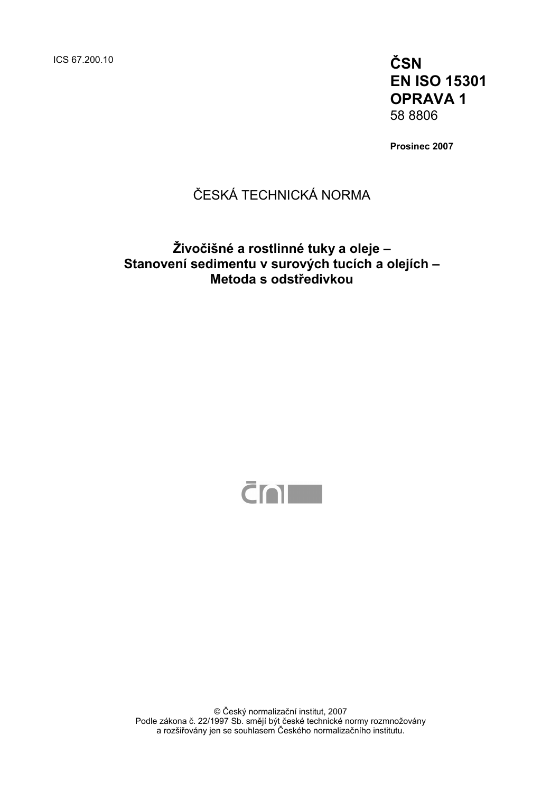ICS 67.200.10 **ČSN** 

**EN ISO 15301 OPRAVA 1**  58 8806

**Prosinec 2007** 

## ČESKÁ TECHNICKÁ NORMA

### **Živočišné a rostlinné tuky a oleje – Stanovení sedimentu v surových tucích a olejích – Metoda s odstředivkou**



© Český normalizační institut, 2007 Podle zákona č. 22/1997 Sb. smějí být české technické normy rozmnožovány a rozšiřovány jen se souhlasem Českého normalizačního institutu.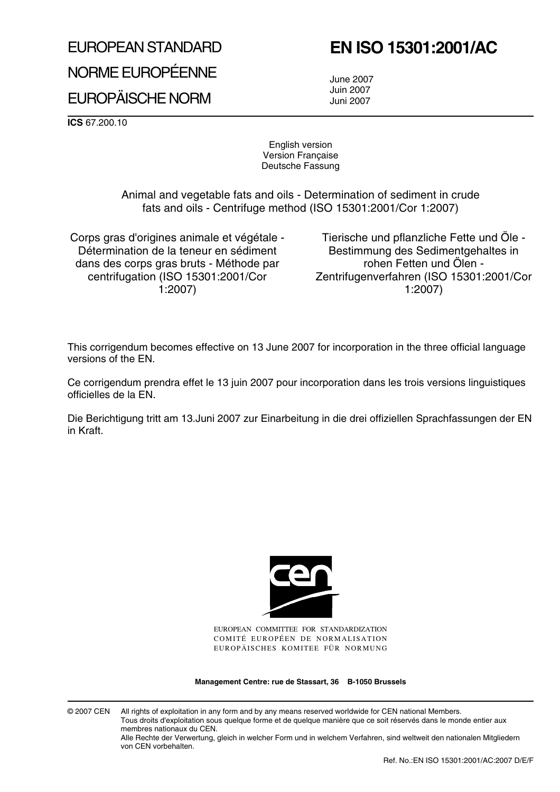# EUROPEAN STANDARD NORME EUROPÉENNE EUROPÄISCHE NORM

# **EN ISO 15301:2001/AC**

June 2007 Juin 2007 Juni 2007

**ICS** 67.200.10

English version Version Française Deutsche Fassung

Animal and vegetable fats and oils - Determination of sediment in crude fats and oils - Centrifuge method (ISO 15301:2001/Cor 1:2007)

Corps gras d'origines animale et végétale - Détermination de la teneur en sédiment dans des corps gras bruts - Méthode par centrifugation (ISO 15301:2001/Cor 1:2007)

Tierische und pflanzliche Fette und Öle - Bestimmung des Sedimentgehaltes in rohen Fetten und Ölen - Zentrifugenverfahren (ISO 15301:2001/Cor 1:2007)

This corrigendum becomes effective on 13 June 2007 for incorporation in the three official language versions of the EN.

Ce corrigendum prendra effet le 13 juin 2007 pour incorporation dans les trois versions linguistiques officielles de la EN.

Die Berichtigung tritt am 13.Juni 2007 zur Einarbeitung in die drei offiziellen Sprachfassungen der EN in Kraft.



EUROPEAN COMMITTEE FOR STANDARDIZATION COMITÉ EUROPÉEN DE NORMALISATION EUROPÄISCHES KOMITEE FÜR NORMUNG

**Management Centre: rue de Stassart, 36 B-1050 Brussels**

© 2007 CEN All rights of exploitation in any form and by any means reserved worldwide for CEN national Members. Tous droits d'exploitation sous quelque forme et de quelque manière que ce soit réservés dans le monde entier aux membres nationaux du CEN.

Alle Rechte der Verwertung, gleich in welcher Form und in welchem Verfahren, sind weltweit den nationalen Mitgliedern von CEN vorbehalten.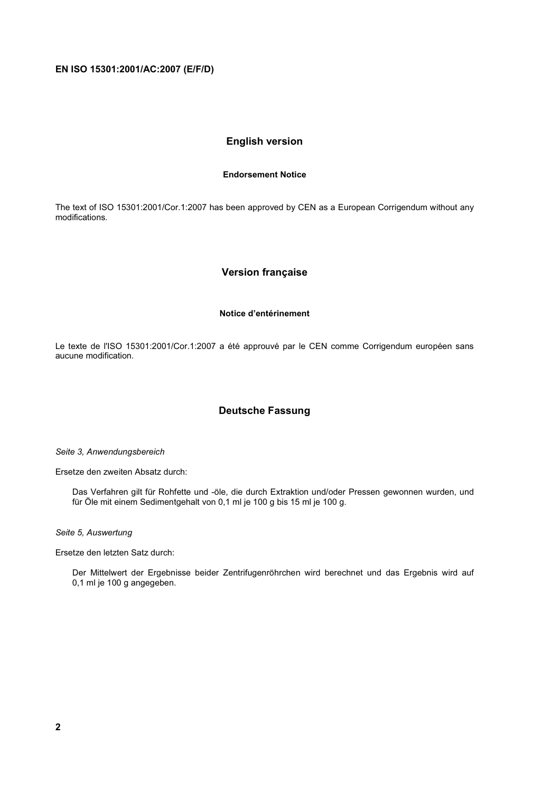#### **English version**

#### **Endorsement Notice**

The text of ISO 15301:2001/Cor.1:2007 has been approved by CEN as a European Corrigendum without any modifications.

#### **Version française**

#### **Notice d'entérinement**

Le texte de l'ISO 15301:2001/Cor.1:2007 a été approuvé par le CEN comme Corrigendum européen sans aucune modification.

#### **Deutsche Fassung**

*Seite 3, Anwendungsbereich* 

Ersetze den zweiten Absatz durch:

Das Verfahren gilt für Rohfette und -öle, die durch Extraktion und/oder Pressen gewonnen wurden, und für Öle mit einem Sedimentgehalt von 0,1 ml je 100 g bis 15 ml je 100 g.

*Seite 5, Auswertung* 

Ersetze den letzten Satz durch:

Der Mittelwert der Ergebnisse beider Zentrifugenröhrchen wird berechnet und das Ergebnis wird auf 0,1 ml je 100 g angegeben.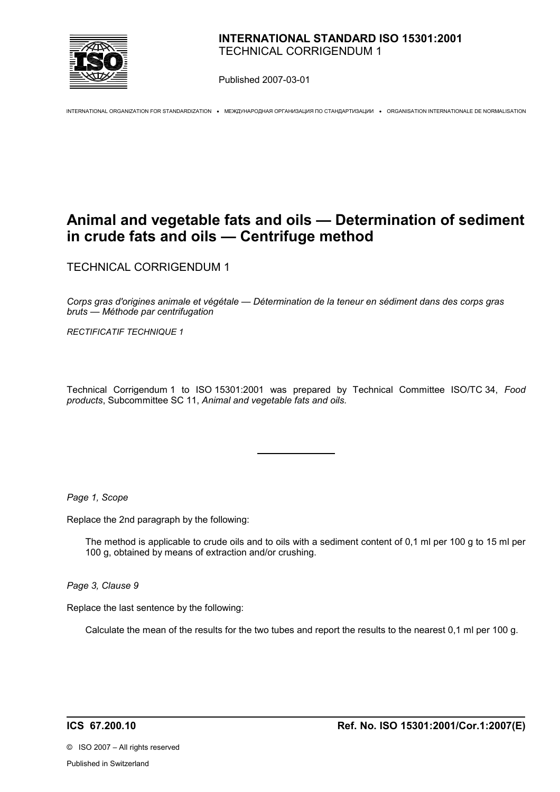

Published 2007-03-01

INTERNATIONAL ORGANIZATION FOR STANDARDIZATION • МЕЖДУНАРОДНАЯ ОРГАНИЗАЦИЯ ПО СТАНДАРТИЗАЦИИ • ORGANISATION INTERNATIONALE DE NORMALISATION

### **Animal and vegetable fats and oils — Determination of sediment in crude fats and oils — Centrifuge method**

TECHNICAL CORRIGENDUM 1

*Corps gras d'origines animale et végétale — Détermination de la teneur en sédiment dans des corps gras bruts — Méthode par centrifugation* 

*RECTIFICATIF TECHNIQUE 1*

Technical Corrigendum 1 to ISO 15301:2001 was prepared by Technical Committee ISO/TC 34, *Food products*, Subcommittee SC 11, *Animal and vegetable fats and oils.*

 $\overline{a}$ 

*Page 1, Scope*

Replace the 2nd paragraph by the following:

The method is applicable to crude oils and to oils with a sediment content of 0,1 ml per 100 g to 15 ml per 100 g, obtained by means of extraction and/or crushing.

*Page 3, Clause 9* 

Replace the last sentence by the following:

Calculate the mean of the results for the two tubes and report the results to the nearest 0,1 ml per 100 g.

©ISO 2007 – All rights reserved